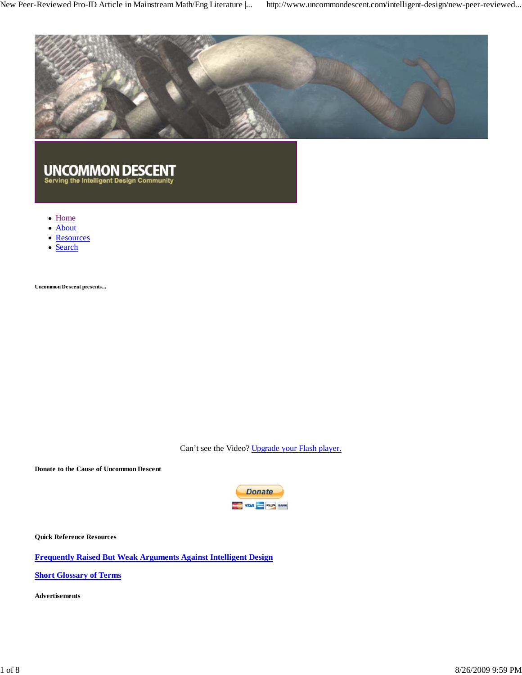

# UNCOMMON DESCENT<br>Serving the Intelligent Design Community

- Home
- About
- Resources
- Search

**Uncommon Descent presents...**

Can't see the Video? Upgrade your Flash player.

**Donate to the Cause of Uncommon Descent**



**Quick Reference Resources**

**Frequently Raised But Weak Arguments Against Intelligent Design**

**Short Glossary of Terms**

**Advertisements**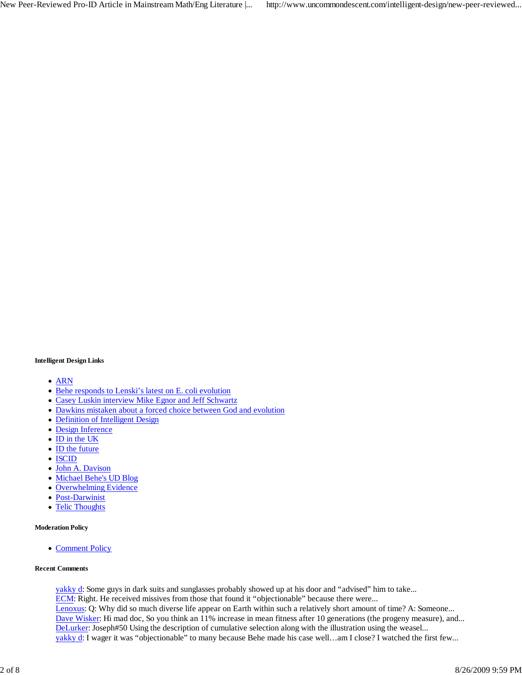### **Intelligent Design Links**

- ARN
- Behe responds to Lenski's latest on E. coli evolution
- Casey Luskin interview Mike Egnor and Jeff Schwartz
- Dawkins mistaken about a forced choice between God and evolution
- Definition of Intelligent Design
- Design Inference
- ID in the UK
- ID the future
- ISCID
- John A. Davison
- Michael Behe's UD Blog
- Overwhelming Evidence
- Post-Darwinist
- Telic Thoughts  $\bullet$

#### **Moderation Policy**

• Comment Policy

### **Recent Comments**

yakky d: Some guys in dark suits and sunglasses probably showed up at his door and "advised" him to take... ECM: Right. He received missives from those that found it "objectionable" because there were... Lenoxus: Q: Why did so much diverse life appear on Earth within such a relatively short amount of time? A: Someone... Dave Wisker: Hi mad doc, So you think an 11% increase in mean fitness after 10 generations (the progeny measure), and... DeLurker: Joseph#50 Using the description of cumulative selection along with the illustration using the weasel... yakky d: I wager it was "objectionable" to many because Behe made his case well...am I close? I watched the first few...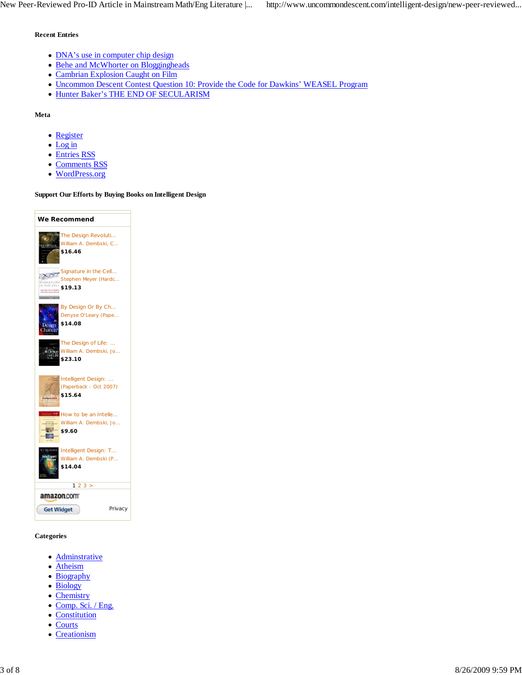### **Recent Entries**

- DNA's use in computer chip design
- Behe and McWhorter on Bloggingheads
- Cambrian Explosion Caught on Film
- Uncommon Descent Contest Question 10: Provide the Code for Dawkins' WEASEL Program
- Hunter Baker's THE END OF SECULARISM

### **Meta**

- Register
- Log in
- Entries RSS
- Comments RSS
- WordPress.org

### **Support Our Efforts by Buying Books on Intelligent Design**

| We Recommend                                                                                                                                             |
|----------------------------------------------------------------------------------------------------------------------------------------------------------|
| The Design Revoluti<br>William A. Dembski, C<br><b>35 SERIAM</b><br>\$16.46                                                                              |
| Signature in the Cell<br>Stephen Meyer (Hardc<br>BIONATURE<br>IN THE CELL<br>\$19.13<br>000 080 191 091019<br>108 00101110101 1001<br><b>HARRY METER</b> |
| By Design Or By Ch<br>Denyse O'Leary (Pape<br>\$14.08<br>Dessierry<br>hance                                                                              |
| The Design of Life:<br>William A. Dembski, Jo<br>\$23.10                                                                                                 |
| Intelligent Design:<br>(Paperback - Oct 2007)<br>\$15.64<br><b>SUVEN</b>                                                                                 |
| How to be an Intelle<br>William A. Dembski, Jo<br>ON TOLERAN<br><b>Bidden</b><br>\$9.60                                                                  |
| Intelligent Design: T<br>William A. Dembski (P<br>\$14.04                                                                                                |
| 23 ><br>1                                                                                                                                                |
| amazon.com                                                                                                                                               |
| <b>Get Widget</b><br>Privacy                                                                                                                             |

### **Categories**

- Adminstrative
- Atheism
- Biography
- Biology
- Chemistry
- Comp. Sci. / Eng.
- Constitution
- Courts
- Creationism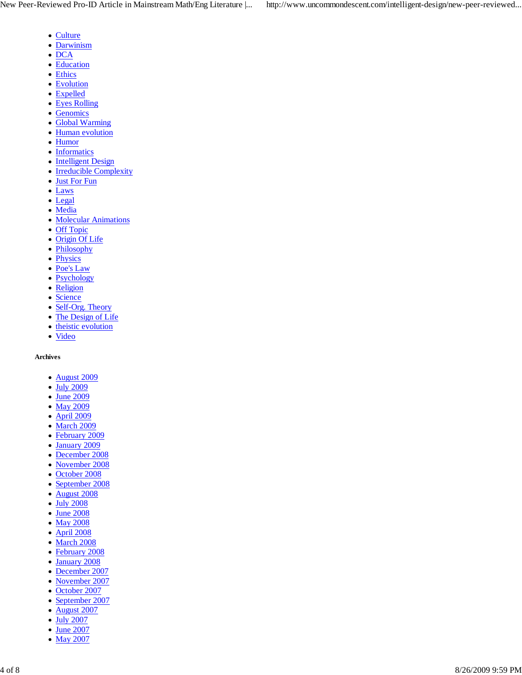- Culture
- Darwinism
- $\bullet$  DCA
- Education
- Ethics
- Evolution
- Expelled
- Eyes Rolling
- Genomics
- Global Warming
- Human evolution
- Humor
- Informatics
- Intelligent Design
- Irreducible Complexity
- Just For Fun
- Laws
- Legal
- Media
- Molecular Animations
- Off Topic
- Origin Of Life
- Philosophy
- Physics
- Poe's Law
- Psychology
- Religion
- Science
- Self-Org. Theory
- The Design of Life
- theistic evolution
- Video

### **Archives**

- August 2009
- July 2009
- June 2009
- May 2009
- April 2009
- March 2009
- February 2009
- January 2009
- December 2008
- November 2008
- October 2008
- September 2008
- August 2008
- July 2008
- June 2008
- May 2008
- April 2008
- March 2008
- February 2008
- January 2008
- December 2007
- November 2007
- October 2007
- September 2007
- August 2007
- July 2007
- June 2007 • May 2007
-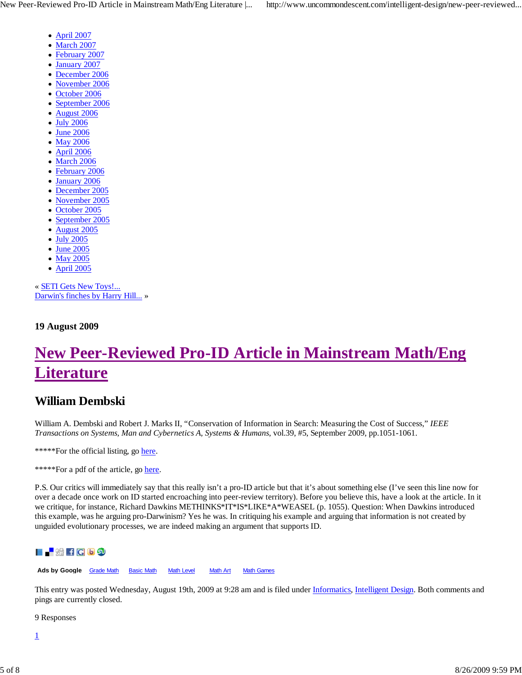- April 2007
- March 2007
- February 2007
- January 2007
- December 2006
- November 2006  $\bullet$
- October 2006  $\bullet$
- September 2006
- August 2006
- July 2006
- June 2006
- May 2006
- April 2006  $\bullet$
- March 2006
- February 2006
- January 2006
- December 2005
- November 2005
- October 2005  $\bullet$
- September 2005  $\bullet$
- August 2005
- July 2005
- June 2005
- May 2005
- April 2005  $\bullet$

« SETI Gets New Toys!... Darwin's finches by Harry Hill... »

**19 August 2009**

## **New Peer-Reviewed Pro-ID Article in Mainstream Math/Eng Literature**

### **William Dembski**

William A. Dembski and Robert J. Marks II, "Conservation of Information in Search: Measuring the Cost of Success," *IEEE Transactions on Systems, Man and Cybernetics A, Systems & Humans*, vol.39, #5, September 2009, pp.1051-1061.

\*\*\*\*\*For the official listing, go here.

\*\*\*\*\*For a pdf of the article, go here.

P.S. Our critics will immediately say that this really isn't a pro-ID article but that it's about something else (I've seen this line now for over a decade once work on ID started encroaching into peer-review territory). Before you believe this, have a look at the article. In it we critique, for instance, Richard Dawkins METHINKS\*IT\*IS\*LIKE\*A\*WEASEL (p. 1055). Question: When Dawkins introduced this example, was he arguing pro-Darwinism? Yes he was. In critiquing his example and arguing that information is not created by unguided evolutionary processes, we are indeed making an argument that supports ID.



Ads by Google **Grade Math** Basic Math Math Level Math Art Math Games

This entry was posted Wednesday, August 19th, 2009 at 9:28 am and is filed under *Informatics*, *Intelligent Design*. Both comments and pings are currently closed.

9 Responses

1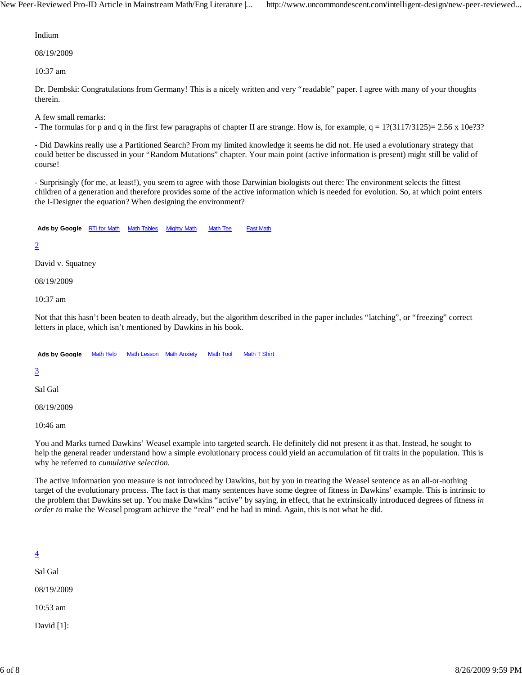Indium

08/19/2009

10:37 am

Dr. Dembski: Congratulations from Germany! This is a nicely written and very "readable" paper. I agree with many of your thoughts therein.

A few small remarks:

- The formulas for p and q in the first few paragraphs of chapter II are strange. How is, for example,  $q = 1$ ?(3117/3125)= 2.56 x 10e?3?

- Did Dawkins really use a Partitioned Search? From my limited knowledge it seems he did not. He used a evolutionary strategy that could better be discussed in your "Random Mutations" chapter. Your main point (active information is present) might still be valid of course!

- Surprisingly (for me, at least!), you seem to agree with those Darwinian biologists out there: The environment selects the fittest children of a generation and therefore provides some of the active information which is needed for evolution. So, at which point enters the I-Designer the equation? When designing the environment?

Ads by Google **RTI for Math Math Tables** Mighty Math Math Tee Fast Math

### 2

David v. Squatney

08/19/2009

10:37 am

Not that this hasn't been beaten to death already, but the algorithm described in the paper includes "latching", or "freezing" correct letters in place, which isn't mentioned by Dawkins in his book.

Ads by Google Math Help Math Lesson Math Anxiety Math Tool Math T Shirt

### 3

Sal Gal

08/19/2009

10:46 am

You and Marks turned Dawkins' Weasel example into targeted search. He definitely did not present it as that. Instead, he sought to help the general reader understand how a simple evolutionary process could yield an accumulation of fit traits in the population. This is why he referred to *cumulative selection.*

The active information you measure is not introduced by Dawkins, but by you in treating the Weasel sentence as an all-or-nothing target of the evolutionary process. The fact is that many sentences have some degree of fitness in Dawkins' example. This is intrinsic to the problem that Dawkins set up. You make Dawkins "active" by saying, in effect, that he extrinsically introduced degrees of fitness *in order to* make the Weasel program achieve the "real" end he had in mind. Again, this is not what he did.

### 4

Sal Gal 08/19/2009 10:53 am

David [1]: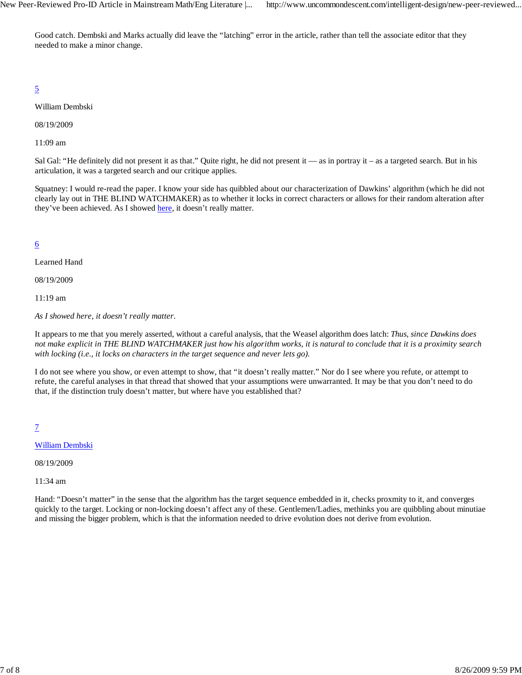Good catch. Dembski and Marks actually did leave the "latching" error in the article, rather than tell the associate editor that they needed to make a minor change.

### 5

William Dembski

08/19/2009

11:09 am

Sal Gal: "He definitely did not present it as that." Quite right, he did not present it — as in portray it – as a targeted search. But in his articulation, it was a targeted search and our critique applies.

Squatney: I would re-read the paper. I know your side has quibbled about our characterization of Dawkins' algorithm (which he did not clearly lay out in THE BLIND WATCHMAKER) as to whether it locks in correct characters or allows for their random alteration after they've been achieved. As I showed here, it doesn't really matter.

### 6

Learned Hand

08/19/2009

11:19 am

*As I showed here, it doesn't really matter.*

It appears to me that you merely asserted, without a careful analysis, that the Weasel algorithm does latch: *Thus, since Dawkins does not make explicit in THE BLIND WATCHMAKER just how his algorithm works, it is natural to conclude that it is a proximity search with locking (i.e., it locks on characters in the target sequence and never lets go).*

I do not see where you show, or even attempt to show, that "it doesn't really matter." Nor do I see where you refute, or attempt to refute, the careful analyses in that thread that showed that your assumptions were unwarranted. It may be that you don't need to do that, if the distinction truly doesn't matter, but where have you established that?

7

### William Dembski

08/19/2009

11:34 am

Hand: "Doesn't matter" in the sense that the algorithm has the target sequence embedded in it, checks proxmity to it, and converges quickly to the target. Locking or non-locking doesn't affect any of these. Gentlemen/Ladies, methinks you are quibbling about minutiae and missing the bigger problem, which is that the information needed to drive evolution does not derive from evolution.